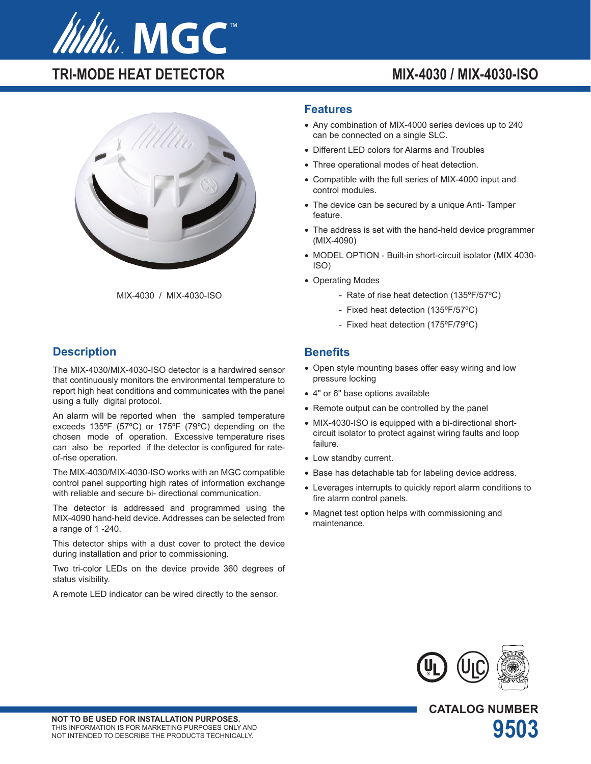

# **TRI-MODE HEAT DETECTOR MIX-4030 / MIX-4030-ISO**





## **Description**

The MIX-4030/MIX-4030-ISO detector is a hardwired sensor that continuously monitors the environmental temperature to report high heat conditions and communicates with the panel using a fully digital protocol.

An alarm will be reported when the sampled temperature exceeds 135ºF (57ºC) or 175ºF (79ºC) depending on the chosen mode of operation. Excessive temperature rises can also be reported if the detector is configured for rateof-rise operation.

The MIX-4030/MIX-4030-ISO works with an MGC compatible control panel supporting high rates of information exchange with reliable and secure bi- directional communication.

The detector is addressed and programmed using the MIX-4090 hand-held device. Addresses can be selected from a range of 1 -240.

This detector ships with a dust cover to protect the device during installation and prior to commissioning.

Two tri-color LEDs on the device provide 360 degrees of status visibility.

A remote LED indicator can be wired directly to the sensor.

#### **Features**

- Any combination of MIX-4000 series devices up to 240 can be connected on a single SLC.
- Different LED colors for Alarms and Troubles
- Three operational modes of heat detection.
- Compatible with the full series of MIX-4000 input and control modules.
- The device can be secured by a unique Anti- Tamper feature.
- The address is set with the hand-held device programmer (MIX-4090)
- MODEL OPTION Built-in short-circuit isolator (MIX 4030- ISO)
- Operating Modes
	- Rate of rise heat detection (135ºF/57ºC)
	- Fixed heat detection (135ºF/57ºC)
	- Fixed heat detection (175ºF/79ºC)

#### **Benefits**

- Open style mounting bases offer easy wiring and low pressure locking
- 4" or 6" base options available
- Remote output can be controlled by the panel
- MIX-4030-ISO is equipped with a bi-directional shortcircuit isolator to protect against wiring faults and loop failure.
- Low standby current.
- Base has detachable tab for labeling device address.
- Leverages interrupts to quickly report alarm conditions to fire alarm control panels.
- Magnet test option helps with commissioning and maintenance.



**CATALOG NUMBER**